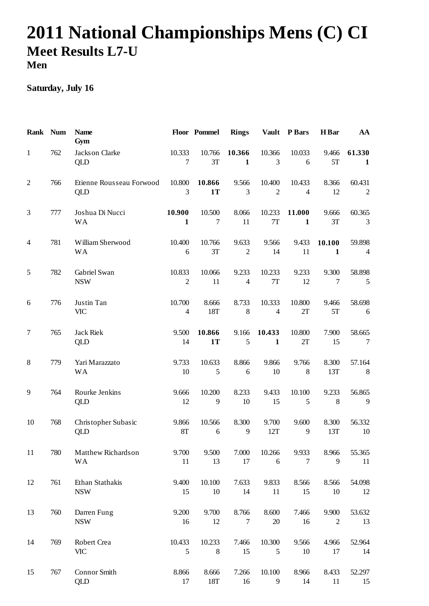## **2011 National Championships Mens (C) CI Meet Results L7-U Men**

## **Saturday, July 16**

| Rank Num       |     | <b>Name</b><br>Gym              |                          | Floor Pommel        | <b>Rings</b>            | <b>Vault</b>             | P Bars                   | H Bar                     | AA                       |
|----------------|-----|---------------------------------|--------------------------|---------------------|-------------------------|--------------------------|--------------------------|---------------------------|--------------------------|
| 1              | 762 | Jackson Clarke<br>QLD           | 10.333<br>7              | 10.766<br>3T        | 10.366<br>$\mathbf{1}$  | 10.366<br>3              | 10.033<br>6              | 9.466<br>5T               | 61.330<br>$\mathbf{1}$   |
| $\overline{2}$ | 766 | Etienne Rousseau Forwood<br>QLD | 10.800<br>3              | 10.866<br>1T        | 9.566<br>3              | 10.400<br>$\overline{2}$ | 10.433<br>$\overline{4}$ | 8.366<br>12               | 60.431<br>$\mathfrak{2}$ |
| 3              | 777 | Joshua Di Nucci<br><b>WA</b>    | 10.900<br>$\mathbf{1}$   | 10.500<br>$\tau$    | 8.066<br>11             | 10.233<br>7T             | 11.000<br>1              | 9.666<br>3T               | 60.365<br>3              |
| $\overline{4}$ | 781 | William Sherwood<br><b>WA</b>   | 10.400<br>6              | 10.766<br>3T        | 9.633<br>$\mathfrak{2}$ | 9.566<br>14              | 9.433<br>11              | 10.100<br>1               | 59.898<br>4              |
| 5              | 782 | Gabriel Swan<br><b>NSW</b>      | 10.833<br>$\mathbf{2}$   | 10.066<br>11        | 9.233<br>$\overline{4}$ | 10.233<br>7T             | 9.233<br>12              | 9.300<br>$\boldsymbol{7}$ | 58.898<br>5              |
| 6              | 776 | Justin Tan<br><b>VIC</b>        | 10.700<br>$\overline{4}$ | 8.666<br>18T        | 8.733<br>8              | 10.333<br>$\overline{4}$ | 10.800<br>2T             | 9.466<br>5T               | 58.698<br>6              |
| $\tau$         | 765 | <b>Jack Riek</b><br>QLD         | 9.500<br>14              | 10.866<br><b>1T</b> | 9.166<br>5              | 10.433<br>$\mathbf{1}$   | 10.800<br>2T             | 7.900<br>15               | 58.665<br>7              |
| 8              | 779 | Yari Marazzato<br><b>WA</b>     | 9.733<br>10              | 10.633<br>5         | 8.866<br>6              | 9.866<br>10              | 9.766<br>8               | 8.300<br>13T              | 57.164<br>8              |
| 9              | 764 | Rourke Jenkins<br>QLD           | 9.666<br>12              | 10.200<br>9         | 8.233<br>10             | 9.433<br>15              | 10.100<br>5              | 9.233<br>8                | 56.865<br>9              |
| 10             | 768 | Christopher Subasic<br>QLD      | 9.866<br><b>8T</b>       | 10.566<br>6         | 8.300<br>9              | 9.700<br>12T             | 9.600<br>9               | 8.300<br>13T              | 56.332<br>10             |
| 11             | 780 | Matthew Richardson<br><b>WA</b> | 9.700<br>11              | 9.500<br>13         | 7.000<br>17             | 10.266<br>6              | 9.933<br>$\overline{7}$  | 8.966<br>9                | 55.365<br>11             |
| 12             | 761 | Ethan Stathakis<br><b>NSW</b>   | 9.400<br>15              | 10.100<br>10        | 7.633<br>14             | 9.833<br>11              | 8.566<br>15              | 8.566<br>10               | 54.098<br>12             |
| 13             | 760 | Darren Fung<br><b>NSW</b>       | 9.200<br>16              | 9.700<br>12         | 8.766<br>$\tau$         | 8.600<br>$20\,$          | 7.466<br>16              | 9.900<br>2                | 53.632<br>13             |
| 14             | 769 | Robert Crea<br><b>VIC</b>       | 10.433<br>5              | 10.233<br>8         | 7.466<br>15             | 10.300<br>5              | 9.566<br>10              | 4.966<br>17               | 52.964<br>14             |
| 15             | 767 | Connor Smith<br>QLD             | 8.866<br>17              | 8.666<br>18T        | 7.266<br>16             | 10.100<br>9              | 8.966<br>14              | 8.433<br>11               | 52.297<br>15             |